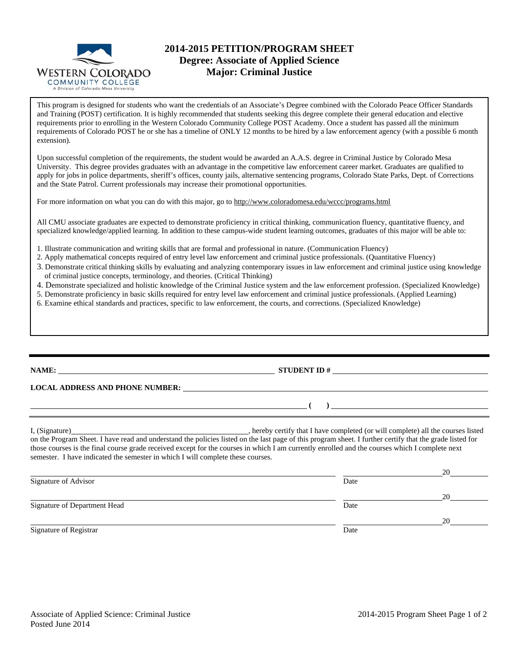

## **2014-2015 PETITION/PROGRAM SHEET Degree: Associate of Applied Science Major: Criminal Justice**

This program is designed for students who want the credentials of an Associate's Degree combined with the Colorado Peace Officer Standards and Training (POST) certification. It is highly recommended that students seeking this degree complete their general education and elective requirements prior to enrolling in the Western Colorado Community College POST Academy. Once a student has passed all the minimum requirements of Colorado POST he or she has a timeline of ONLY 12 months to be hired by a law enforcement agency (with a possible 6 month extension).

Upon successful completion of the requirements, the student would be awarded an A.A.S. degree in Criminal Justice by Colorado Mesa University. This degree provides graduates with an advantage in the competitive law enforcement career market. Graduates are qualified to apply for jobs in police departments, sheriff's offices, county jails, alternative sentencing programs, Colorado State Parks, Dept. of Corrections and the State Patrol. Current professionals may increase their promotional opportunities.

For more information on what you can do with this major, go to http://www.coloradomesa.edu/wccc/programs.html

All CMU associate graduates are expected to demonstrate proficiency in critical thinking, communication fluency, quantitative fluency, and specialized knowledge/applied learning. In addition to these campus-wide student learning outcomes, graduates of this major will be able to:

- 1. Illustrate communication and writing skills that are formal and professional in nature. (Communication Fluency)
- 2. Apply mathematical concepts required of entry level law enforcement and criminal justice professionals. (Quantitative Fluency)
- 3. Demonstrate critical thinking skills by evaluating and analyzing contemporary issues in law enforcement and criminal justice using knowledge of criminal justice concepts, terminology, and theories. (Critical Thinking)
- 4. Demonstrate specialized and holistic knowledge of the Criminal Justice system and the law enforcement profession. (Specialized Knowledge)
- 5. Demonstrate proficiency in basic skills required for entry level law enforcement and criminal justice professionals. (Applied Learning)
- 6. Examine ethical standards and practices, specific to law enforcement, the courts, and corrections. (Specialized Knowledge)

## **NAME: STUDENT ID #**

**LOCAL ADDRESS AND PHONE NUMBER:**

I, (Signature) , hereby certify that I have completed (or will complete) all the courses listed on the Program Sheet. I have read and understand the policies listed on the last page of this program sheet. I further certify that the grade listed for those courses is the final course grade received except for the courses in which I am currently enrolled and the courses which I complete next semester. I have indicated the semester in which I will complete these courses.

|                              |      | 20 |
|------------------------------|------|----|
| Signature of Advisor         | Date |    |
|                              |      | 20 |
| Signature of Department Head | Date |    |
|                              |      | 20 |
| Signature of Registrar       | Date |    |

 **( )**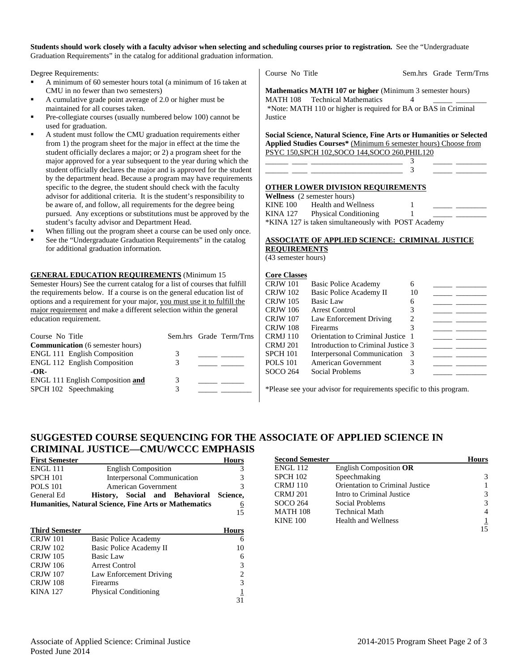#### **Students should work closely with a faculty advisor when selecting and scheduling courses prior to registration.** See the "Undergraduate Graduation Requirements" in the catalog for additional graduation information.

Degree Requirements:

- A minimum of 60 semester hours total (a minimum of 16 taken at CMU in no fewer than two semesters)
- A cumulative grade point average of 2.0 or higher must be maintained for all courses taken.
- Pre-collegiate courses (usually numbered below 100) cannot be used for graduation.
- A student must follow the CMU graduation requirements either from 1) the program sheet for the major in effect at the time the student officially declares a major; or 2) a program sheet for the major approved for a year subsequent to the year during which the student officially declares the major and is approved for the student by the department head. Because a program may have requirements specific to the degree, the student should check with the faculty advisor for additional criteria. It is the student's responsibility to be aware of, and follow, all requirements for the degree being pursued. Any exceptions or substitutions must be approved by the student's faculty advisor and Department Head.
- When filling out the program sheet a course can be used only once.
- See the "Undergraduate Graduation Requirements" in the catalog for additional graduation information.

**GENERAL EDUCATION REQUIREMENTS** (Minimum 15

Semester Hours) See the current catalog for a list of courses that fulfill the requirements below. If a course is on the general education list of options and a requirement for your major, you must use it to fulfill the major requirement and make a different selection within the general education requirement.

| 3 |                         |
|---|-------------------------|
|   |                         |
|   |                         |
| 3 |                         |
|   |                         |
|   | Sem.hrs Grade Term/Trns |

Course No Title Sem.hrs Grade Term/Trns

**Mathematics MATH 107 or higher** (Minimum 3 semester hours) MATH 108 Technical Mathematics 4 \*Note: MATH 110 or higher is required for BA or BAS in Criminal **Justice** 

**Social Science, Natural Science, Fine Arts or Humanities or Selected Applied Studies Courses\*** (Minimum 6 semester hours) Choose from PSYC 150,SPCH 102,SOCO 144,SOCO 260,PHIL120

\_\_\_\_\_\_ \_\_\_\_ \_\_\_\_\_\_\_\_\_\_\_\_\_\_\_\_\_\_\_\_\_\_\_\_ 3 \_\_\_\_\_ \_\_\_\_\_\_\_\_ \_\_\_\_\_\_ \_\_\_\_ \_\_\_\_\_\_\_\_\_\_\_\_\_\_\_\_\_\_\_\_\_\_\_\_ 3 \_\_\_\_\_ \_\_\_\_\_\_\_\_

#### **OTHER LOWER DIVISION REQUIREMENTS**

**Wellness** (2 semester hours) KINE 100 Health and Wellness 1 KINA 127 Physical Conditioning 1 \*KINA 127 is taken simultaneously with POST Academy

#### **ASSOCIATE OF APPLIED SCIENCE: CRIMINAL JUSTICE REQUIREMENTS**

(43 semester hours)

### **Core Classes**

| CRJW 101        | Basic Police Academy               | 6  |  |
|-----------------|------------------------------------|----|--|
| <b>CRJW</b> 102 | Basic Police Academy II            | 10 |  |
| <b>CRJW 105</b> | Basic Law                          | 6  |  |
| <b>CRJW</b> 106 | Arrest Control                     |    |  |
| <b>CRJW</b> 107 | Law Enforcement Driving            | 2  |  |
| <b>CRJW 108</b> | Firearms                           |    |  |
| <b>CRMJ</b> 110 | Orientation to Criminal Justice 1  |    |  |
| <b>CRMJ 201</b> | Introduction to Criminal Justice 3 |    |  |
| <b>SPCH 101</b> | Interpersonal Communication 3      |    |  |
| <b>POLS 101</b> | American Government                |    |  |
| SOCO 264        | Social Problems                    |    |  |
|                 |                                    |    |  |

\*Please see your advisor for requirements specific to this program.

# **SUGGESTED COURSE SEQUENCING FOR THE ASSOCIATE OF APPLIED SCIENCE IN CRIMINAL JUSTICE—CMU/WCCC EMPHASIS**

| <b>First Semester</b>                                        |                             |                            |  |                                         | Hours |
|--------------------------------------------------------------|-----------------------------|----------------------------|--|-----------------------------------------|-------|
| <b>ENGL 111</b>                                              |                             | <b>English Composition</b> |  |                                         |       |
| <b>SPCH 101</b>                                              | Interpersonal Communication |                            |  |                                         |       |
| <b>POLS</b> 101                                              | <b>American Government</b>  |                            |  |                                         |       |
| General Ed                                                   |                             |                            |  | History, Social and Behavioral Science, |       |
| <b>Humanities, Natural Science, Fine Arts or Mathematics</b> |                             |                            |  | 6                                       |       |
|                                                              |                             |                            |  |                                         | 15    |

| <b>Third Semester</b> |                              | <b>Hours</b> |
|-----------------------|------------------------------|--------------|
| <b>CRJW</b> 101       | Basic Police Academy         | 6            |
| <b>CRJW</b> 102       | Basic Police Academy II      | 10           |
| <b>CRJW</b> 105       | Basic Law                    | 6            |
| <b>CRJW</b> 106       | <b>Arrest Control</b>        | 3            |
| <b>CRJW 107</b>       | Law Enforcement Driving      | 2            |
| <b>CRJW 108</b>       | Firearms                     | 3            |
| <b>KINA 127</b>       | <b>Physical Conditioning</b> |              |
|                       |                              | 31           |

| <b>Second Semester</b> |                                 | Hours |
|------------------------|---------------------------------|-------|
| <b>ENGL 112</b>        | English Composition OR          |       |
| <b>SPCH 102</b>        | Speechmaking                    |       |
| <b>CRMJ</b> 110        | Orientation to Criminal Justice |       |
| <b>CRMJ 201</b>        | Intro to Criminal Justice       |       |
| SOCO 264               | Social Problems                 |       |
| <b>MATH 108</b>        | <b>Technical Math</b>           |       |
| <b>KINE 100</b>        | <b>Health and Wellness</b>      |       |
|                        |                                 |       |